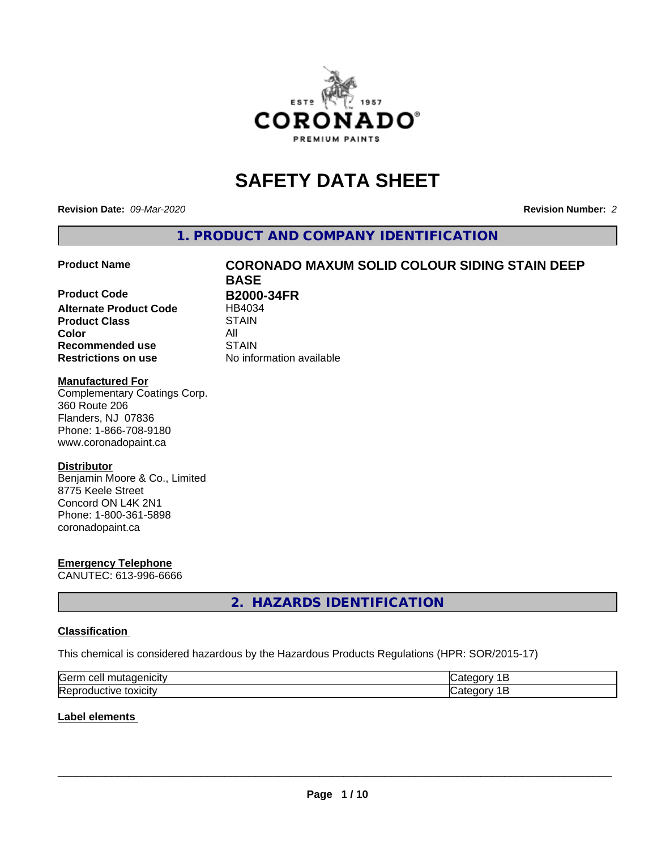

# **SAFETY DATA SHEET**

**Revision Date:** *09-Mar-2020* **Revision Number:** *2*

**1. PRODUCT AND COMPANY IDENTIFICATION**

**Product Code B2000-34FR**<br>Alternate Product Code **BE** HB4034 **Alternate Product Code Product Class** STAIN **Color** All **Recommended use STAIN Restrictions on use** No information available

# **Product Name CORONADO MAXUM SOLID COLOUR SIDING STAIN DEEP BASE**

#### **Manufactured For**

Complementary Coatings Corp. 360 Route 206 Flanders, NJ 07836 Phone: 1-866-708-9180 www.coronadopaint.ca

#### **Distributor**

Benjamin Moore & Co., Limited 8775 Keele Street Concord ON L4K 2N1 Phone: 1-800-361-5898 coronadopaint.ca

# **Emergency Telephone**

CANUTEC: 613-996-6666

# **2. HAZARDS IDENTIFICATION**

#### **Classification**

This chemical is considered hazardous by the Hazardous Products Regulations (HPR: SOR/2015-17)

| <b>Serr</b><br>--- |  |
|--------------------|--|
| Rep<br>\JARJI.     |  |

#### **Label elements**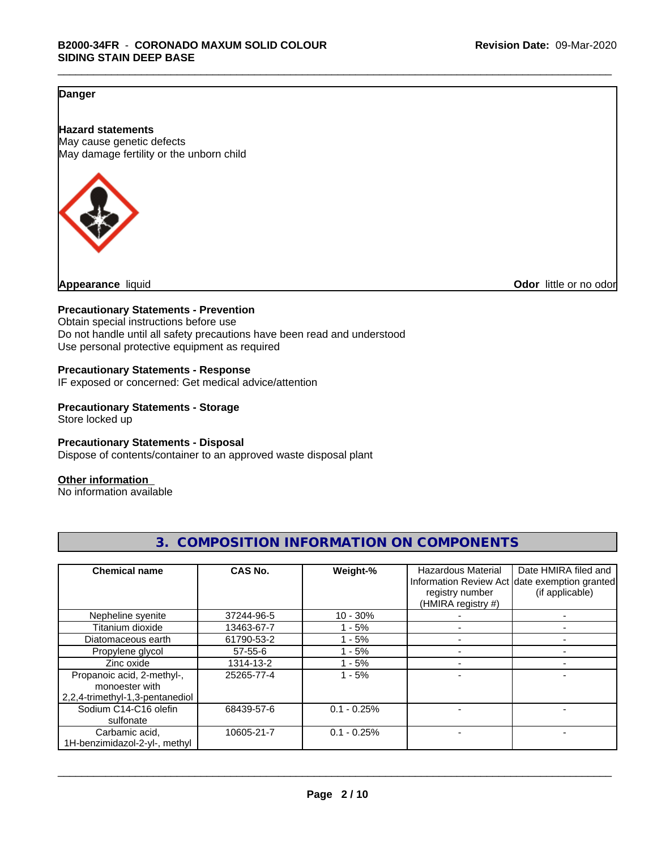### **Danger**

**Hazard statements** May cause genetic defects May damage fertility or the unborn child



**Appearance** liquid **Odor 11** and **Odor 11** and **Odor 11** and **Odor 11** and **Odor Odor 1** and **Odor 1** and **Odor 1** and **Odor 1** and **Odor 1** and **1** and **1** and **1** and **1** and **1** and **1** and **1** and **1** and

#### **Precautionary Statements - Prevention**

Obtain special instructions before use Do not handle until all safety precautions have been read and understood Use personal protective equipment as required

#### **Precautionary Statements - Response**

IF exposed or concerned: Get medical advice/attention

#### **Precautionary Statements - Storage**

Store locked up

#### **Precautionary Statements - Disposal**

Dispose of contents/container to an approved waste disposal plant

#### **Other information**

No information available

| <b>Chemical name</b>                                                            | CAS No.    | Weight-%      | Hazardous Material<br>registry number<br>(HMIRA registry #) | Date HMIRA filed and<br>Information Review Act date exemption granted<br>(if applicable) |
|---------------------------------------------------------------------------------|------------|---------------|-------------------------------------------------------------|------------------------------------------------------------------------------------------|
| Nepheline syenite                                                               | 37244-96-5 | $10 - 30%$    |                                                             |                                                                                          |
| Titanium dioxide                                                                | 13463-67-7 | $-5%$         |                                                             |                                                                                          |
| Diatomaceous earth                                                              | 61790-53-2 | $1 - 5%$      |                                                             |                                                                                          |
| Propylene glycol                                                                | 57-55-6    | $1 - 5%$      |                                                             |                                                                                          |
| Zinc oxide                                                                      | 1314-13-2  | - 5%          |                                                             |                                                                                          |
| Propanoic acid, 2-methyl-,<br>monoester with<br>2,2,4-trimethyl-1,3-pentanediol | 25265-77-4 | $1 - 5%$      |                                                             |                                                                                          |
| Sodium C14-C16 olefin<br>sulfonate                                              | 68439-57-6 | $0.1 - 0.25%$ |                                                             |                                                                                          |
| Carbamic acid,<br>1H-benzimidazol-2-yl-, methyl                                 | 10605-21-7 | $0.1 - 0.25%$ |                                                             |                                                                                          |

# **3. COMPOSITION INFORMATION ON COMPONENTS**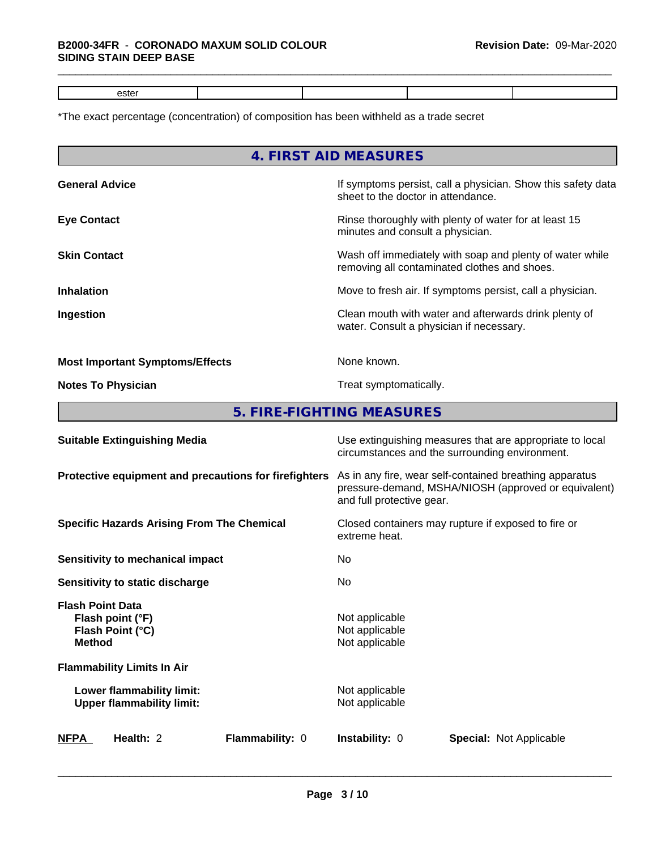# \*The exact percentage (concentration) of composition has been withheld as a trade secret

|                                                                                  | 4. FIRST AID MEASURES                                                                                                                        |  |  |
|----------------------------------------------------------------------------------|----------------------------------------------------------------------------------------------------------------------------------------------|--|--|
| <b>General Advice</b>                                                            | If symptoms persist, call a physician. Show this safety data<br>sheet to the doctor in attendance.                                           |  |  |
| <b>Eye Contact</b>                                                               | Rinse thoroughly with plenty of water for at least 15<br>minutes and consult a physician.                                                    |  |  |
| <b>Skin Contact</b>                                                              | Wash off immediately with soap and plenty of water while<br>removing all contaminated clothes and shoes.                                     |  |  |
| <b>Inhalation</b>                                                                | Move to fresh air. If symptoms persist, call a physician.                                                                                    |  |  |
| Ingestion                                                                        | Clean mouth with water and afterwards drink plenty of<br>water. Consult a physician if necessary.                                            |  |  |
| <b>Most Important Symptoms/Effects</b>                                           | None known.                                                                                                                                  |  |  |
| <b>Notes To Physician</b>                                                        | Treat symptomatically.                                                                                                                       |  |  |
|                                                                                  | 5. FIRE-FIGHTING MEASURES                                                                                                                    |  |  |
| <b>Suitable Extinguishing Media</b>                                              | Use extinguishing measures that are appropriate to local<br>circumstances and the surrounding environment.                                   |  |  |
| Protective equipment and precautions for firefighters                            | As in any fire, wear self-contained breathing apparatus<br>pressure-demand, MSHA/NIOSH (approved or equivalent)<br>and full protective gear. |  |  |
| <b>Specific Hazards Arising From The Chemical</b>                                | Closed containers may rupture if exposed to fire or<br>extreme heat.                                                                         |  |  |
| <b>Sensitivity to mechanical impact</b>                                          | No                                                                                                                                           |  |  |
| Sensitivity to static discharge                                                  | No                                                                                                                                           |  |  |
| <b>Flash Point Data</b><br>Flash point (°F)<br>Flash Point (°C)<br><b>Method</b> | Not applicable<br>Not applicable<br>Not applicable                                                                                           |  |  |
| <b>Flammability Limits In Air</b>                                                |                                                                                                                                              |  |  |
| Lower flammability limit:<br><b>Upper flammability limit:</b>                    | Not applicable<br>Not applicable                                                                                                             |  |  |
| Health: 2<br><b>NFPA</b><br>Flammability: 0                                      | Instability: 0<br><b>Special: Not Applicable</b>                                                                                             |  |  |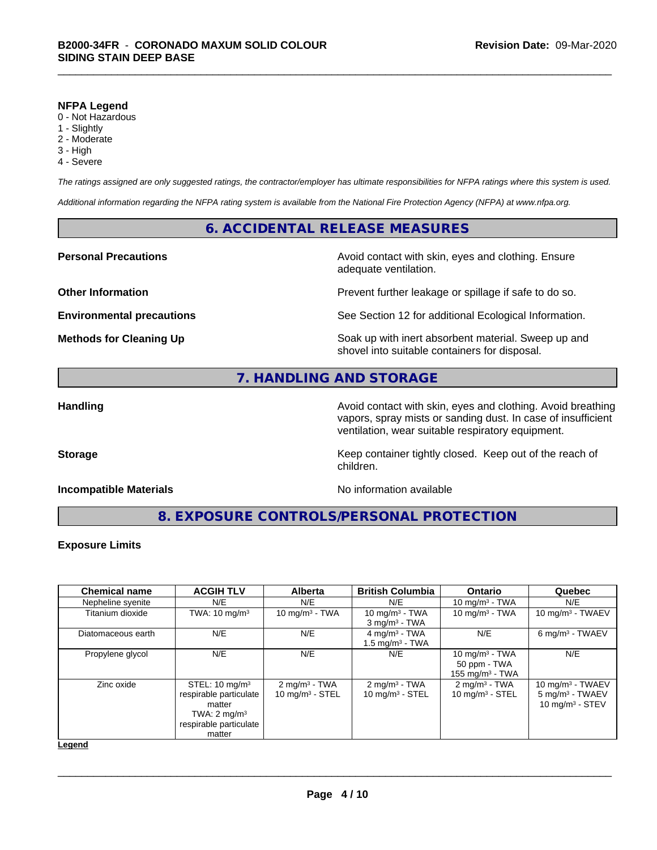#### **NFPA Legend**

- 0 Not Hazardous
- 1 Slightly
- 2 Moderate
- 3 High
- 4 Severe

*The ratings assigned are only suggested ratings, the contractor/employer has ultimate responsibilities for NFPA ratings where this system is used.*

*Additional information regarding the NFPA rating system is available from the National Fire Protection Agency (NFPA) at www.nfpa.org.*

#### **6. ACCIDENTAL RELEASE MEASURES**

#### **Personal Precautions Avoid contact with skin, eyes and clothing. Ensure** Avoid contact with skin, eyes and clothing. Ensure

**Other Information Discription Prevent further leakage or spillage if safe to do so.** 

**Environmental precautions** See Section 12 for additional Ecological Information.

**Methods for Cleaning Up Example 20 Soak** up with inert absorbent material. Sweep up and shovel into suitable containers for disposal.

## **7. HANDLING AND STORAGE**

**Handling Handling Avoid contact with skin, eyes and clothing. Avoid breathing Handling Avoid breathing Avoid breathing** vapors, spray mists or sanding dust. In case of insufficient ventilation, wear suitable respiratory equipment.

**Storage Keep container tightly closed. Keep out of the reach of Keep** container tightly closed. Keep out of the reach of

#### **Incompatible Materials** Noinformation available

adequate ventilation.

**8. EXPOSURE CONTROLS/PERSONAL PROTECTION**

children.

#### **Exposure Limits**

| <b>Chemical name</b> | <b>ACGIH TLV</b>                                                                                                             | <b>Alberta</b>                                 | <b>British Columbia</b>                                 | <b>Ontario</b>                                          | Quebec                                                                  |
|----------------------|------------------------------------------------------------------------------------------------------------------------------|------------------------------------------------|---------------------------------------------------------|---------------------------------------------------------|-------------------------------------------------------------------------|
| Nepheline syenite    | N/E                                                                                                                          | N/E                                            | N/E                                                     | 10 mg/m $3$ - TWA                                       | N/E                                                                     |
| Titanium dioxide     | TWA: $10 \text{ mg/m}^3$                                                                                                     | 10 mg/m $3$ - TWA                              | 10 mg/m $3$ - TWA<br>$3$ mg/m <sup>3</sup> - TWA        | 10 mg/m $3$ - TWA                                       | 10 mg/m $3$ - TWAEV                                                     |
| Diatomaceous earth   | N/E                                                                                                                          | N/E                                            | $4 \text{ mg/m}^3$ - TWA<br>1.5 mg/m <sup>3</sup> - TWA | N/E                                                     | 6 mg/m <sup>3</sup> - TWAEV                                             |
| Propylene glycol     | N/E                                                                                                                          | N/E                                            | N/E                                                     | 10 mg/m $3$ - TWA<br>50 ppm - TWA<br>155 mg/m $3$ - TWA | N/E                                                                     |
| Zinc oxide           | STEL: $10 \text{ mg/m}^3$<br>respirable particulate<br>matter<br>TWA: $2 \text{ mg/m}^3$<br>respirable particulate<br>matter | $2 \text{ mg/m}^3$ - TWA<br>10 mg/m $3 -$ STEL | $2 \text{ mg/m}^3$ - TWA<br>10 mg/m $3 -$ STEL          | $2 \text{ mg/m}^3$ - TWA<br>10 mg/m $3 -$ STEL          | 10 mg/m $3$ - TWAEV<br>$5 \text{ mg/m}^3$ - TWAEV<br>10 mg/m $3 -$ STEV |

**Legend**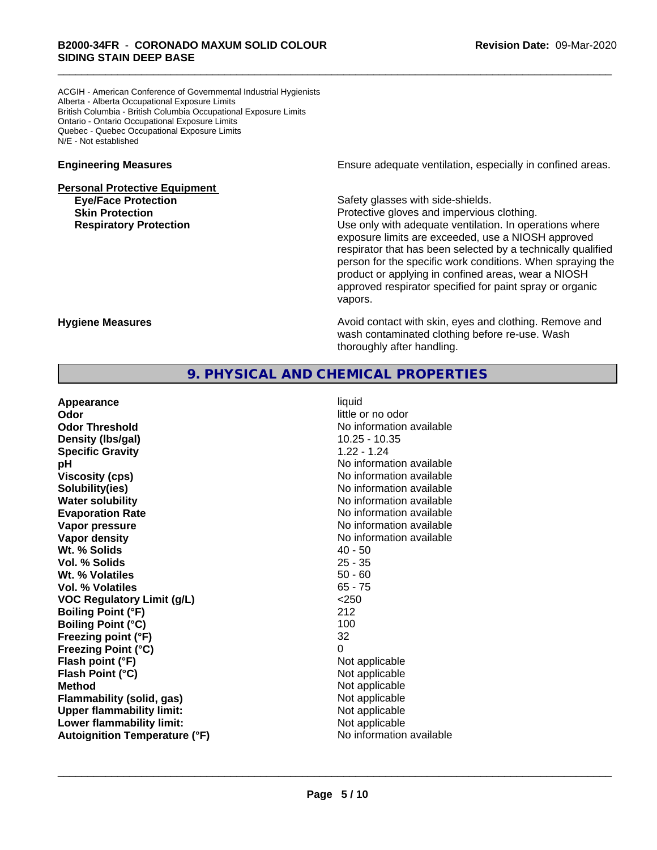ACGIH - American Conference of Governmental Industrial Hygienists Alberta - Alberta Occupational Exposure Limits British Columbia - British Columbia Occupational Exposure Limits Ontario - Ontario Occupational Exposure Limits Quebec - Quebec Occupational Exposure Limits N/E - Not established

# **Personal Protective Equipment Eye/Face Protection Safety glasses with side-shields.**

**Engineering Measures Engineering Measures Engineering Measures Ensure adequate ventilation, especially in confined areas.** 

**Skin Protection Protection Protective gloves and impervious clothing. Respiratory Protection Exercise 2018** Use only with adequate ventilation. In operations where exposure limits are exceeded, use a NIOSH approved respirator that has been selected by a technically qualified person for the specific work conditions. When spraying the product or applying in confined areas, wear a NIOSH approved respirator specified for paint spray or organic vapors.

**Hygiene Measures Avoid contact with skin, eyes and clothing. Remove and Avoid contact with skin, eyes and clothing. Remove and Avoid contact with skin, eyes and clothing. Remove and** wash contaminated clothing before re-use. Wash thoroughly after handling.

# **9. PHYSICAL AND CHEMICAL PROPERTIES**

| Appearance                           | liquid                   |
|--------------------------------------|--------------------------|
| Odor                                 | little or no odor        |
| <b>Odor Threshold</b>                | No information available |
| Density (Ibs/gal)                    | $10.25 - 10.35$          |
| <b>Specific Gravity</b>              | $1.22 - 1.24$            |
| рH                                   | No information available |
| <b>Viscosity (cps)</b>               | No information available |
| Solubility(ies)                      | No information available |
| <b>Water solubility</b>              | No information available |
| <b>Evaporation Rate</b>              | No information available |
| Vapor pressure                       | No information available |
| Vapor density                        | No information available |
| Wt. % Solids                         | $40 - 50$                |
| Vol. % Solids                        | $25 - 35$                |
| Wt. % Volatiles                      | $50 - 60$                |
| Vol. % Volatiles                     | $65 - 75$                |
| <b>VOC Regulatory Limit (g/L)</b>    | < 250                    |
| <b>Boiling Point (°F)</b>            | 212                      |
| <b>Boiling Point (°C)</b>            | 100                      |
| Freezing point (°F)                  | 32                       |
| <b>Freezing Point (°C)</b>           | 0                        |
| Flash point (°F)                     | Not applicable           |
| Flash Point (°C)                     | Not applicable           |
| <b>Method</b>                        | Not applicable           |
| Flammability (solid, gas)            | Not applicable           |
| <b>Upper flammability limit:</b>     | Not applicable           |
| Lower flammability limit:            | Not applicable           |
| <b>Autoignition Temperature (°F)</b> | No information available |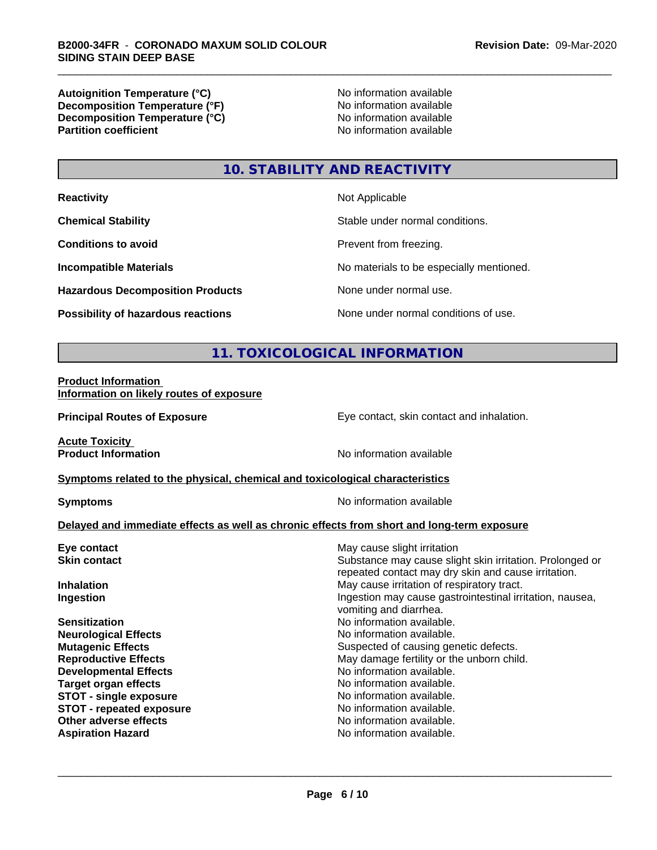**Autoignition Temperature (°C)**<br> **Decomposition Temperature (°F)** No information available<br>
No information available **Decomposition Temperature (°F)**<br> **Decomposition Temperature (°C)**<br>
No information available **Decomposition Temperature (°C) Partition coefficient** 

# **10. STABILITY AND REACTIVITY**

| <b>Reactivity</b>                         | Not Applicable                           |
|-------------------------------------------|------------------------------------------|
| <b>Chemical Stability</b>                 | Stable under normal conditions.          |
| <b>Conditions to avoid</b>                | Prevent from freezing.                   |
| <b>Incompatible Materials</b>             | No materials to be especially mentioned. |
| <b>Hazardous Decomposition Products</b>   | None under normal use.                   |
| <b>Possibility of hazardous reactions</b> | None under normal conditions of use.     |

# **11. TOXICOLOGICAL INFORMATION**

#### **Product Information Information on likely routes of exposure**

**Principal Routes of Exposure Exposure** Eye contact, skin contact and inhalation.

**Acute Toxicity** 

**Product Information** No information available

#### **Symptoms** related to the physical, chemical and toxicological characteristics

**Symptoms** No information available

#### **Delayed and immediate effects as well as chronic effects from short and long-term exposure**

| Eye contact                     | May cause slight irritation                                                                                     |  |  |
|---------------------------------|-----------------------------------------------------------------------------------------------------------------|--|--|
| <b>Skin contact</b>             | Substance may cause slight skin irritation. Prolonged or<br>repeated contact may dry skin and cause irritation. |  |  |
| <b>Inhalation</b>               | May cause irritation of respiratory tract.                                                                      |  |  |
| Ingestion                       | Ingestion may cause gastrointestinal irritation, nausea,<br>vomiting and diarrhea.                              |  |  |
| <b>Sensitization</b>            | No information available.                                                                                       |  |  |
| <b>Neurological Effects</b>     | No information available.                                                                                       |  |  |
| <b>Mutagenic Effects</b>        | Suspected of causing genetic defects.                                                                           |  |  |
| <b>Reproductive Effects</b>     | May damage fertility or the unborn child.                                                                       |  |  |
| <b>Developmental Effects</b>    | No information available.                                                                                       |  |  |
| Target organ effects            | No information available.                                                                                       |  |  |
| <b>STOT - single exposure</b>   | No information available.                                                                                       |  |  |
| <b>STOT - repeated exposure</b> | No information available.                                                                                       |  |  |
| Other adverse effects           | No information available.                                                                                       |  |  |
| <b>Aspiration Hazard</b>        | No information available.                                                                                       |  |  |
|                                 |                                                                                                                 |  |  |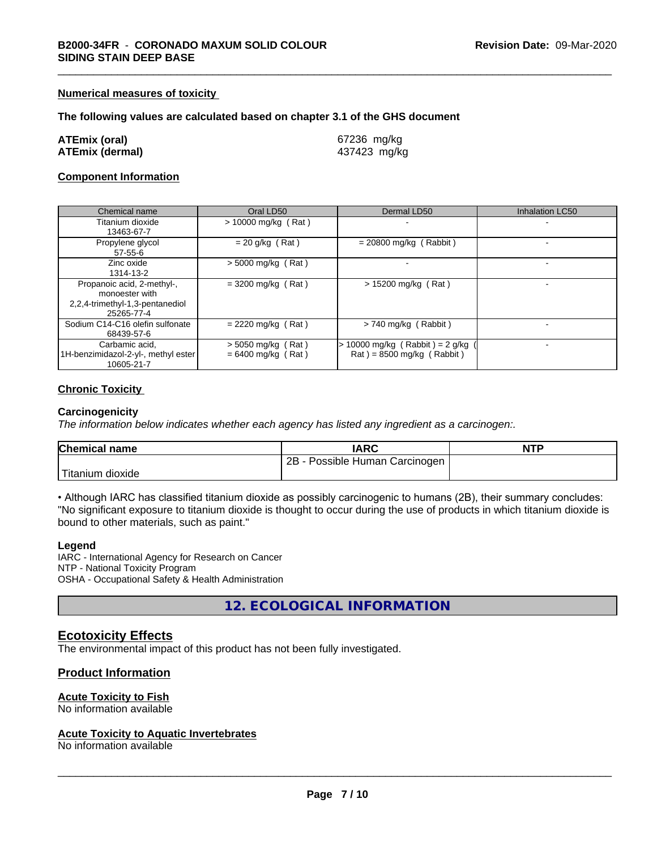#### **Numerical measures of toxicity**

#### **The following values are calculated based on chapter 3.1 of the GHS document**

| ATEmix (oral)   | 67236 mg/kg  |
|-----------------|--------------|
| ATEmix (dermal) | 437423 mg/kg |

#### **Component Information**

| Chemical name                                                                                 | Oral LD50                                    | Dermal LD50                                                    | Inhalation LC50 |
|-----------------------------------------------------------------------------------------------|----------------------------------------------|----------------------------------------------------------------|-----------------|
| Titanium dioxide<br>13463-67-7                                                                | $> 10000$ mg/kg (Rat)                        |                                                                |                 |
| Propylene glycol<br>$57 - 55 - 6$                                                             | $= 20$ g/kg (Rat)                            | $= 20800$ mg/kg (Rabbit)                                       |                 |
| Zinc oxide<br>1314-13-2                                                                       | $>$ 5000 mg/kg (Rat)                         |                                                                |                 |
| Propanoic acid, 2-methyl-,<br>monoester with<br>2,2,4-trimethyl-1,3-pentanediol<br>25265-77-4 | $=$ 3200 mg/kg (Rat)                         | $> 15200$ mg/kg (Rat)                                          |                 |
| Sodium C14-C16 olefin sulfonate<br>68439-57-6                                                 | $= 2220$ mg/kg (Rat)                         | > 740 mg/kg (Rabbit)                                           |                 |
| Carbamic acid,<br>1H-benzimidazol-2-yl-, methyl ester<br>10605-21-7                           | $>$ 5050 mg/kg (Rat)<br>$= 6400$ mg/kg (Rat) | 10000 mg/kg (Rabbit) = $2$ g/kg<br>$Rat$ = 8500 mg/kg (Rabbit) |                 |

#### **Chronic Toxicity**

#### **Carcinogenicity**

*The information below indicateswhether each agency has listed any ingredient as a carcinogen:.*

| <b>Chemical name</b>   | <b>IARC</b>                     | <b>NTP</b> |
|------------------------|---------------------------------|------------|
|                        | 2B<br>Possible Human Carcinogen |            |
| Titanium J<br>⊧dioxide |                                 |            |

• Although IARC has classified titanium dioxide as possibly carcinogenic to humans (2B), their summary concludes: "No significant exposure to titanium dioxide is thought to occur during the use of products in which titanium dioxide is bound to other materials, such as paint."

#### **Legend**

IARC - International Agency for Research on Cancer NTP - National Toxicity Program OSHA - Occupational Safety & Health Administration

**12. ECOLOGICAL INFORMATION**

#### **Ecotoxicity Effects**

The environmental impact of this product has not been fully investigated.

#### **Product Information**

#### **Acute Toxicity to Fish**

No information available

#### **Acute Toxicity to Aquatic Invertebrates**

No information available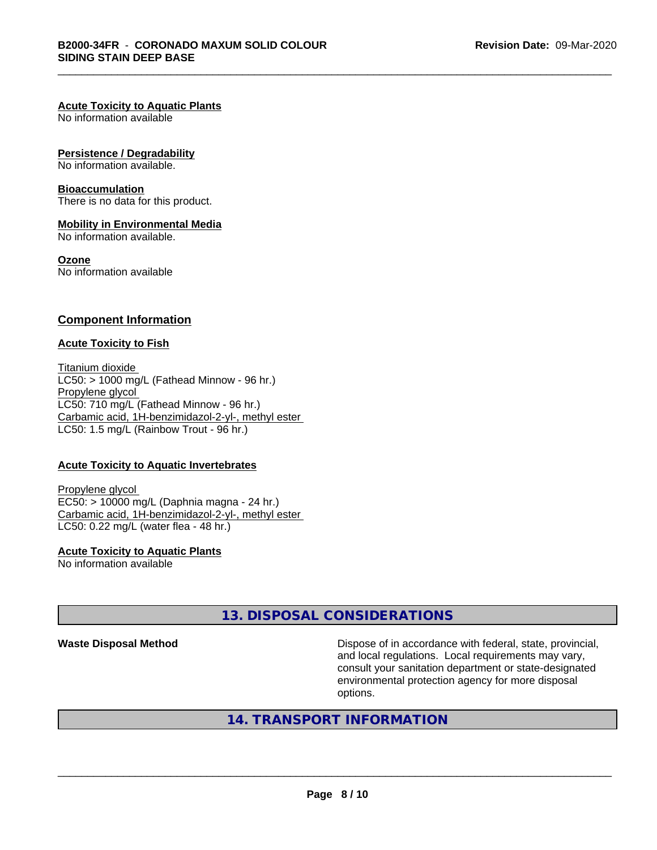#### **Acute Toxicity to Aquatic Plants**

No information available

#### **Persistence / Degradability**

No information available.

#### **Bioaccumulation**

There is no data for this product.

#### **Mobility in Environmental Media**

No information available.

#### **Ozone**

No information available

#### **Component Information**

#### **Acute Toxicity to Fish**

Titanium dioxide  $LC50:$  > 1000 mg/L (Fathead Minnow - 96 hr.) Propylene glycol LC50: 710 mg/L (Fathead Minnow - 96 hr.) Carbamic acid, 1H-benzimidazol-2-yl-, methyl ester LC50: 1.5 mg/L (Rainbow Trout - 96 hr.)

#### **Acute Toxicity to Aquatic Invertebrates**

Propylene glycol EC50: > 10000 mg/L (Daphnia magna - 24 hr.) Carbamic acid, 1H-benzimidazol-2-yl-, methyl ester LC50: 0.22 mg/L (water flea - 48 hr.)

**Acute Toxicity to Aquatic Plants** No information available

# **13. DISPOSAL CONSIDERATIONS**

**Waste Disposal Method Dispose of in accordance with federal, state, provincial,** and local regulations. Local requirements may vary, consult your sanitation department or state-designated environmental protection agency for more disposal options.

# **14. TRANSPORT INFORMATION**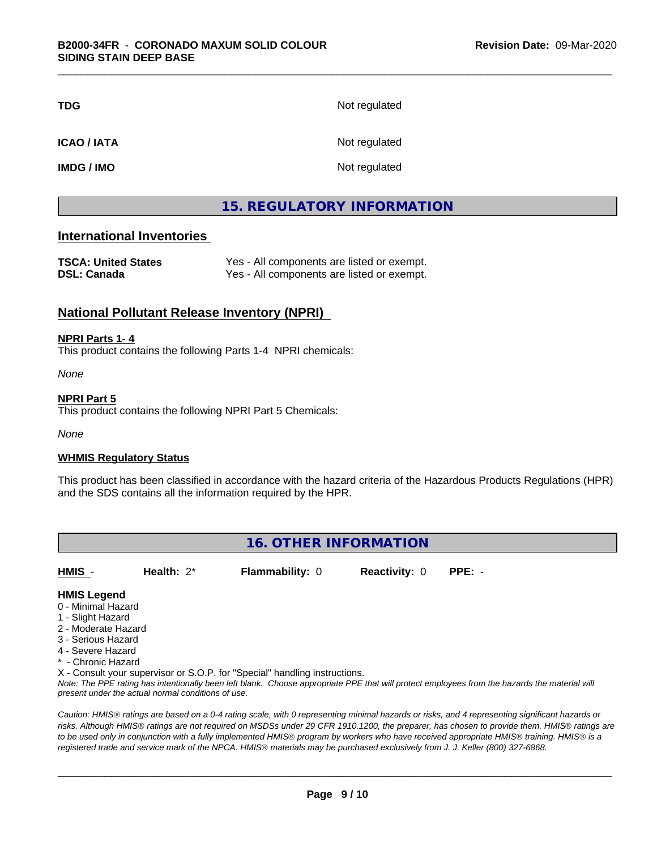| <b>TDG</b>        | Not regulated |
|-------------------|---------------|
| <b>ICAO/IATA</b>  | Not regulated |
| <b>IMDG / IMO</b> | Not regulated |

# **15. REGULATORY INFORMATION**

## **International Inventories**

| <b>TSCA: United States</b> | Yes - All components are listed or exempt. |
|----------------------------|--------------------------------------------|
| <b>DSL: Canada</b>         | Yes - All components are listed or exempt. |

## **National Pollutant Release Inventory (NPRI)**

#### **NPRI Parts 1- 4**

This product contains the following Parts 1-4 NPRI chemicals:

*None*

#### **NPRI Part 5**

This product contains the following NPRI Part 5 Chemicals:

*None*

#### **WHMIS Regulatory Status**

This product has been classified in accordance with the hazard criteria of the Hazardous Products Regulations (HPR) and the SDS contains all the information required by the HPR.

# **16. OTHER INFORMATION**

**HMIS** - **Health:** 2\* **Flammability:** 0 **Reactivity:** 0 **PPE:** -

#### **HMIS Legend**

- 0 Minimal Hazard
- 1 Slight Hazard
- 2 Moderate Hazard
- 3 Serious Hazard
- 4 Severe Hazard
- \* Chronic Hazard
- X Consult your supervisor or S.O.P. for "Special" handling instructions.

*Note: The PPE rating has intentionally been left blank. Choose appropriate PPE that will protect employees from the hazards the material will present under the actual normal conditions of use.*

*Caution: HMISÒ ratings are based on a 0-4 rating scale, with 0 representing minimal hazards or risks, and 4 representing significant hazards or risks. Although HMISÒ ratings are not required on MSDSs under 29 CFR 1910.1200, the preparer, has chosen to provide them. HMISÒ ratings are to be used only in conjunction with a fully implemented HMISÒ program by workers who have received appropriate HMISÒ training. HMISÒ is a registered trade and service mark of the NPCA. HMISÒ materials may be purchased exclusively from J. J. Keller (800) 327-6868.*